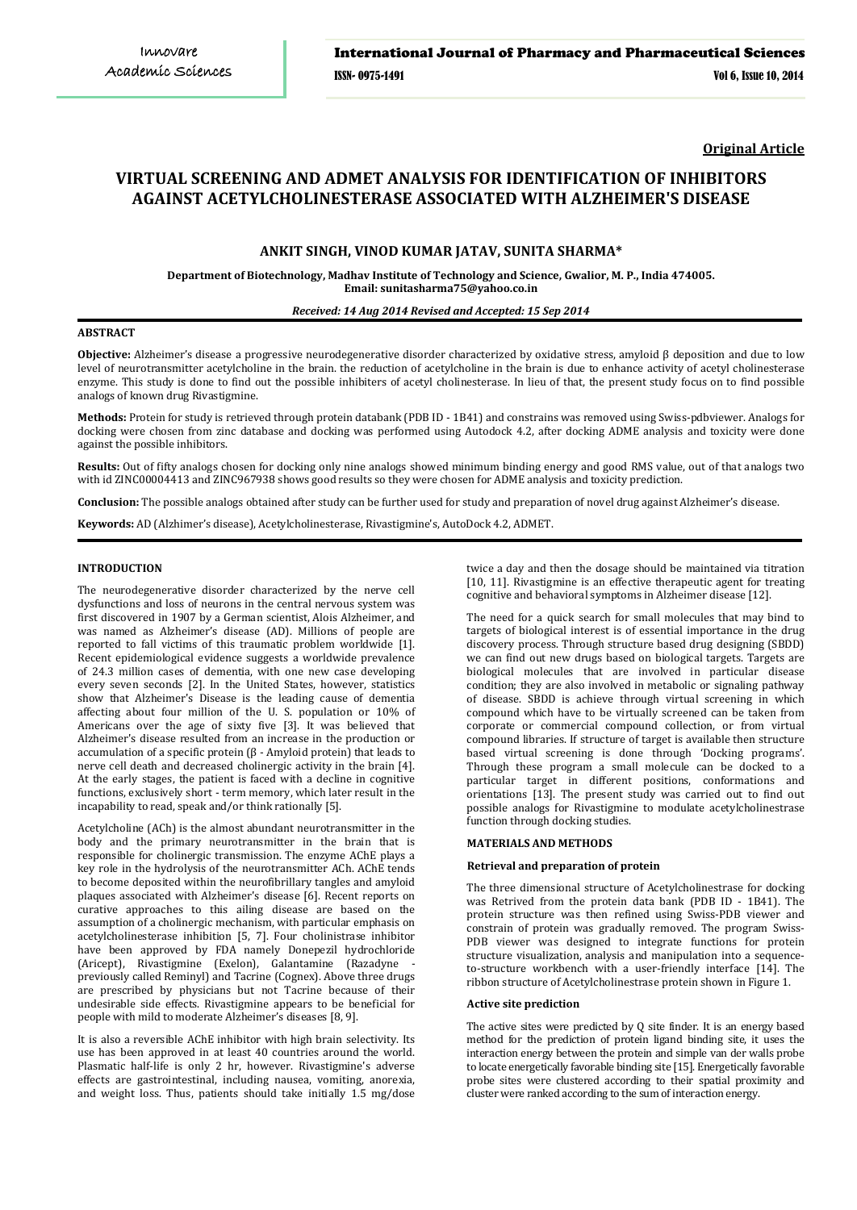**Original Article**

# **VIRTUAL SCREENING AND ADMET ANALYSIS FOR IDENTIFICATION OF INHIBITORS AGAINST ACETYLCHOLINESTERASE ASSOCIATED WITH ALZHEIMER'S DISEASE**

# **ANKIT SINGH, VINOD KUMAR JATAV, SUNITA SHARMA\***

**Department of Biotechnology, Madhav Institute of Technology and Science, Gwalior, M. P., India 474005. Email: sunitasharma75@yahoo.co.in**

# *Received: 14 Aug 2014 Revised and Accepted: 15 Sep 2014*

# **ABSTRACT**

**Objective:** Alzheimer's disease a progressive neurodegenerative disorder characterized by oxidative stress, amyloid β deposition and due to low level of neurotransmitter acetylcholine in the brain. the reduction of acetylcholine in the brain is due to enhance activity of acetyl cholinesterase enzyme. This study is done to find out the possible inhibiters of acetyl cholinesterase. In lieu of that, the present study focus on to find possible analogs of known drug Rivastigmine.

**Methods:** Protein for study is retrieved through protein databank (PDB ID - 1B41) and constrains was removed using Swiss-pdbviewer. Analogs for docking were chosen from zinc database and docking was performed using Autodock 4.2, after docking ADME analysis and toxicity were done against the possible inhibitors.

**Results:** Out of fifty analogs chosen for docking only nine analogs showed minimum binding energy and good RMS value, out of that analogs two with id ZINC00004413 and ZINC967938 shows good results so they were chosen for ADME analysis and toxicity prediction.

**Conclusion:** The possible analogs obtained after study can be further used for study and preparation of novel drug against Alzheimer's disease.

**Keywords:** AD (Alzhimer's disease), Acetylcholinesterase, Rivastigmine's, AutoDock 4.2, ADMET.

### **INTRODUCTION**

The neurodegenerative disorder characterized by the nerve cell dysfunctions and loss of neurons in the central nervous system was first discovered in 1907 by a German scientist, Alois Alzheimer, and was named as Alzheimer's disease (AD). Millions of people are reported to fall victims of this traumatic problem worldwide [1]. Recent epidemiological evidence suggests a worldwide prevalence of 24.3 million cases of dementia, with one new case developing every seven seconds [2]. In the United States, however, statistics show that Alzheimer's Disease is the leading cause of dementia affecting about four million of the U. S. population or 10% of Americans over the age of sixty five [3]. It was believed that Alzheimer's disease resulted from an increase in the production or accumulation of a specific protein (β - Amyloid protein) that leads to nerve cell death and decreased cholinergic activity in the brain [4]. At the early stages, the patient is faced with a decline in cognitive functions, exclusively short - term memory, which later result in the incapability to read, speak and/or think rationally [5].

Acetylcholine (ACh) is the almost abundant neurotransmitter in the body and the primary neurotransmitter in the brain that is responsible for cholinergic transmission. The enzyme AChE plays a key role in the hydrolysis of the neurotransmitter ACh. AChE tends to become deposited within the neurofibrillary tangles and amyloid plaques associated with Alzheimer's disease [6]. Recent reports on curative approaches to this ailing disease are based on the assumption of a cholinergic mechanism, with particular emphasis on acetylcholinesterase inhibition [5, 7]. Four cholinistrase inhibitor have been approved by FDA namely Donepezil hydrochloride (Aricept), Rivastigmine (Exelon), Galantamine (Razadyne previously called Reminyl) and Tacrine (Cognex). Above three drugs are prescribed by physicians but not Tacrine because of their undesirable side effects. Rivastigmine appears to be beneficial for people with mild to moderate Alzheimer's diseases [8, 9].

It is also a reversible AChE inhibitor with high brain selectivity. Its use has been approved in at least 40 countries around the world. Plasmatic half-life is only 2 hr, however. Rivastigmine's adverse effects are gastrointestinal, including nausea, vomiting, anorexia, and weight loss. Thus, patients should take initially 1.5 mg/dose twice a day and then the dosage should be maintained via titration [10, 11]. Rivastigmine is an effective therapeutic agent for treating cognitive and behavioral symptoms in Alzheimer disease [12].

The need for a quick search for small molecules that may bind to targets of biological interest is of essential importance in the drug discovery process. Through structure based drug designing (SBDD) we can find out new drugs based on biological targets. Targets are biological molecules that are involved in particular disease condition; they are also involved in metabolic or signaling pathway of disease. SBDD is achieve through virtual screening in which compound which have to be virtually screened can be taken from corporate or commercial compound collection, or from virtual compound libraries. If structure of target is available then structure based virtual screening is done through 'Docking programs'. Through these program a small molecule can be docked to a particular target in different positions, conformations and orientations [13]. The present study was carried out to find out possible analogs for Rivastigmine to modulate acetylcholinestrase function through docking studies.

# **MATERIALS AND METHODS**

#### **Retrieval and preparation of protein**

The three dimensional structure of Acetylcholinestrase for docking was Retrived from the protein data bank (PDB ID - 1B41). The protein structure was then refined using Swiss-PDB viewer and constrain of protein was gradually removed. The program Swiss-PDB viewer was designed to integrate functions for protein structure visualization, analysis and manipulation into a sequenceto-structure workbench with a user-friendly interface [14]. The ribbon structure of Acetylcholinestrase protein shown in Figure 1.

# **Active site prediction**

The active sites were predicted by Q site finder. It is an energy based method for the prediction of protein ligand binding site, it uses the interaction energy between the protein and simple van der walls probe to locate energetically favorable binding site [15]. Energetically favorable probe sites were clustered according to their spatial proximity and cluster were ranked according to the sum of interaction energy.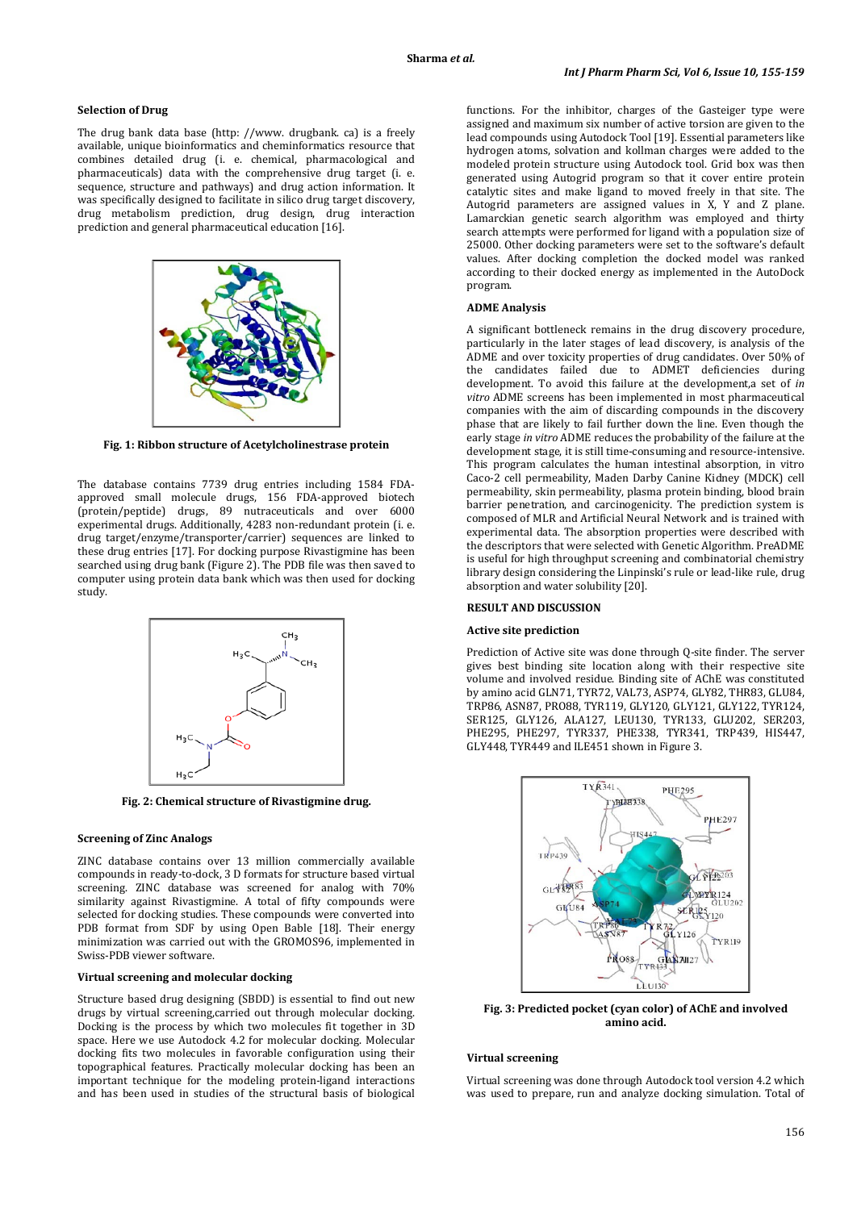### **Selection of Drug**

The drug bank data base (http: //www. drugbank. ca) is a freely available, unique bioinformatics and cheminformatics resource that combines detailed drug (i. e. chemical, pharmacological and pharmaceuticals) data with the comprehensive drug target (i. e. sequence, structure and pathways) and drug action information. It was specifically designed to facilitate in silico drug target discovery, drug metabolism prediction, drug design, drug interaction prediction and general pharmaceutical education [16].



**Fig. 1: Ribbon structure of Acetylcholinestrase protein**

The database contains 7739 drug entries including 1584 FDAapproved small molecule drugs, 156 FDA-approved biotech (protein/peptide) drugs, 89 nutraceuticals and over 6000 experimental drugs. Additionally, 4283 non-redundant protein (i. e. drug target/enzyme/transporter/carrier) sequences are linked to these drug entries [17]. For docking purpose Rivastigmine has been searched using drug bank (Figure 2). The PDB file was then saved to computer using protein data bank which was then used for docking study.



**Fig. 2: Chemical structure of Rivastigmine drug.**

# **Screening of Zinc Analogs**

ZINC database contains over 13 million commercially available compounds in ready-to-dock, 3 D formats for structure based virtual screening. ZINC database was screened for analog with 70% similarity against Rivastigmine. A total of fifty compounds were selected for docking studies. These compounds were converted into PDB format from SDF by using Open Bable [18]. Their energy minimization was carried out with the GROMOS96, implemented in Swiss-PDB viewer software.

#### **Virtual screening and molecular docking**

Structure based drug designing (SBDD) is essential to find out new drugs by virtual screening,carried out through molecular docking. Docking is the process by which two molecules fit together in 3D space. Here we use Autodock 4.2 for molecular docking. Molecular docking fits two molecules in favorable configuration using their topographical features. Practically molecular docking has been an important technique for the modeling protein-ligand interactions and has been used in studies of the structural basis of biological functions. For the inhibitor, charges of the Gasteiger type were assigned and maximum six number of active torsion are given to the lead compounds using Autodock Tool [19]. Essential parameters like hydrogen atoms, solvation and kollman charges were added to the modeled protein structure using Autodock tool. Grid box was then generated using Autogrid program so that it cover entire protein catalytic sites and make ligand to moved freely in that site. The Autogrid parameters are assigned values in X, Y and Z plane. Lamarckian genetic search algorithm was employed and thirty search attempts were performed for ligand with a population size of 25000. Other docking parameters were set to the software's default values. After docking completion the docked model was ranked according to their docked energy as implemented in the AutoDock program.

# **ADME Analysis**

A significant bottleneck remains in the drug discovery procedure, particularly in the later stages of lead discovery, is analysis of the ADME and over toxicity properties of drug candidates. Over 50% of the candidates failed due to ADMET deficiencies during development. To avoid this failure at the development,a set of *in vitro* ADME screens has been implemented in most pharmaceutical companies with the aim of discarding compounds in the discovery phase that are likely to fail further down the line. Even though the early stage *in vitro* ADME reduces the probability of the failure at the development stage, it is still time-consuming and resource-intensive. This program calculates the human intestinal absorption, in vitro Caco-2 cell permeability, Maden Darby Canine Kidney (MDCK) cell permeability, skin permeability, plasma protein binding, blood brain barrier penetration, and carcinogenicity. The prediction system is composed of MLR and Artificial Neural Network and is trained with experimental data. The absorption properties were described with the descriptors that were selected with Genetic Algorithm. PreADME is useful for high throughput screening and combinatorial chemistry library design considering the Linpinski's rule or lead-like rule, drug absorption and water solubility [20].

#### **RESULT AND DISCUSSION**

#### **Active site prediction**

Prediction of Active site was done through Q-site finder. The server gives best binding site location along with their respective site volume and involved residue. Binding site of AChE was constituted by amino acid GLN71, TYR72, VAL73, ASP74, GLY82, THR83, GLU84, TRP86, ASN87, PRO88, TYR119, GLY120, GLY121, GLY122, TYR124, SER125, GLY126, ALA127, LEU130, TYR133, GLU202, SER203, PHE295, PHE297, TYR337, PHE338, TYR341, TRP439, HIS447, GLY448, TYR449 and ILE451 shown in Figure 3.



**Fig. 3: Predicted pocket (cyan color) of AChE and involved amino acid.**

#### **Virtual screening**

Virtual screening was done through Autodock tool version 4.2 which was used to prepare, run and analyze docking simulation. Total of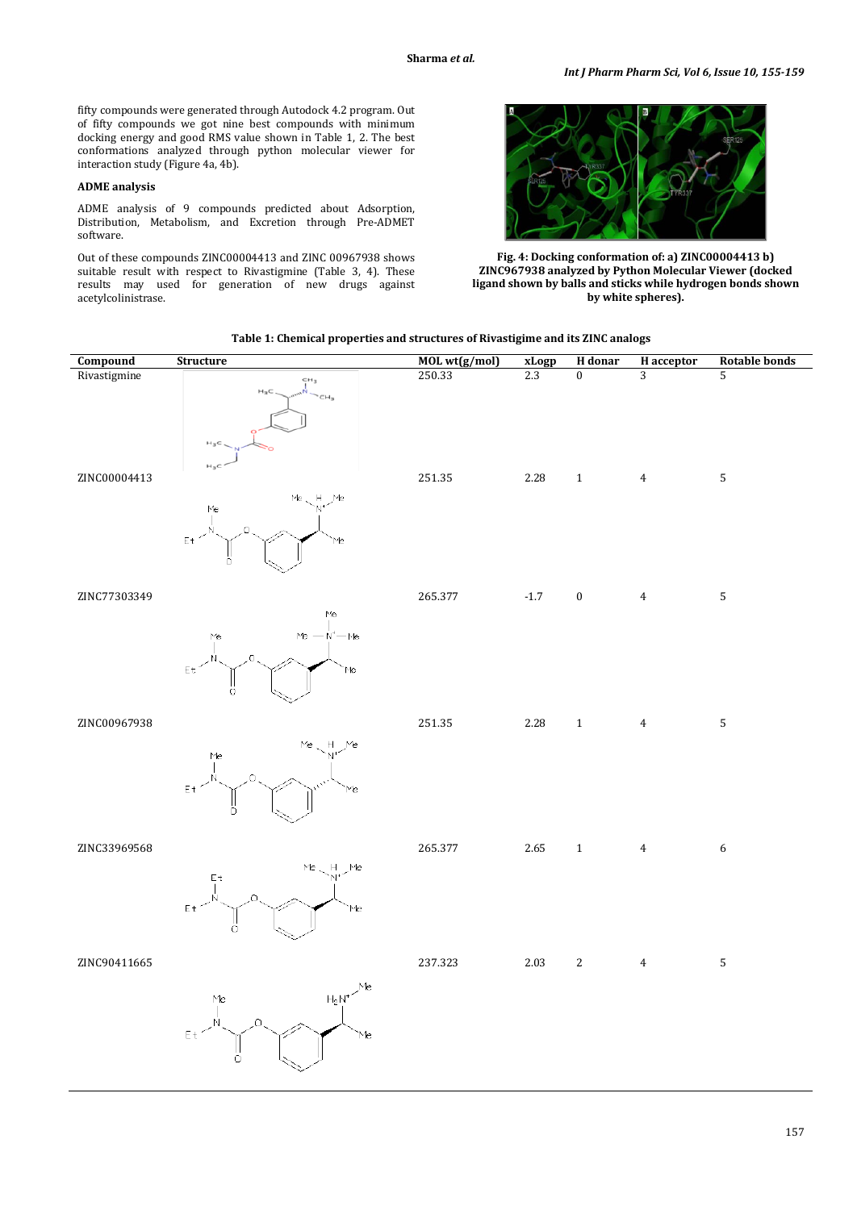fifty compounds were generated through Autodock 4.2 program. Out of fifty compounds we got nine best compounds with minimum docking energy and good RMS value shown in Table 1, 2. The best conformations analyzed through python molecular viewer for interaction study (Figure 4a, 4b).

# **ADME analysis**

ADME analysis of 9 compounds predicted about Adsorption, Distribution, Metabolism, and Excretion through Pre-ADMET software.

Out of these compounds ZINC00004413 and ZINC 00967938 shows suitable result with respect to Rivastigmine (Table 3, 4). These results may used for generation of new drugs against acetylcolinistrase.



**Fig. 4: Docking conformation of: a) ZINC00004413 b) ZINC967938 analyzed by Python Molecular Viewer (docked ligand shown by balls and sticks while hydrogen bonds shown by white spheres).**

| Table 1: Chemical properties and structures of Rivastigime and its ZINC analogs |
|---------------------------------------------------------------------------------|
|---------------------------------------------------------------------------------|

| Compound     | Structure                                                                                                                                                                                                                                                                                                                                                    | MOL wt(g/mol) | xLogp  | H donar          | <b>H</b> acceptor   | <b>Rotable bonds</b> |
|--------------|--------------------------------------------------------------------------------------------------------------------------------------------------------------------------------------------------------------------------------------------------------------------------------------------------------------------------------------------------------------|---------------|--------|------------------|---------------------|----------------------|
| Rivastigmine | CH <sub>3</sub>                                                                                                                                                                                                                                                                                                                                              | 250.33        | 2.3    | $\mathbf{0}$     | 3                   | 5                    |
| ZINC00004413 | $\sim$ CH <sub>3</sub><br>$\bowtie_3\subset$<br>$H_3C$<br>$\mathsf{Me} \smallsetminus \mathsf{H} \smallsetminus \mathsf{Me}$<br>Me<br>$\alpha$<br>$E_t$<br>Me                                                                                                                                                                                                | 251.35        |        | $2.28 \t 1 \t 4$ |                     | $\sqrt{5}$           |
|              |                                                                                                                                                                                                                                                                                                                                                              |               |        |                  |                     |                      |
| ZINC77303349 |                                                                                                                                                                                                                                                                                                                                                              | 265.377       | $-1.7$ |                  | $0 \qquad \qquad 4$ | 5                    |
|              | $\begin{picture}(130,10) \put(0,0){\line(1,0){155}} \put(150,0){\line(1,0){155}} \put(150,0){\line(1,0){155}} \put(150,0){\line(1,0){155}} \put(150,0){\line(1,0){155}} \put(150,0){\line(1,0){155}} \put(150,0){\line(1,0){155}} \put(150,0){\line(1,0){155}} \put(150,0){\line(1,0){155}} \put(150,0){\line(1,0){155}} \put(150,0){\$<br>Me<br>$E_t$ / $N$ |               |        |                  |                     |                      |
| ZINC00967938 |                                                                                                                                                                                                                                                                                                                                                              | 251.35        |        | $2.28 \t 1 \t 4$ |                     | $\mathbf{5}$         |
|              | $\begin{picture}(180,10) \put(10,10){\line(1,0){100}} \put(10,10){\line(1,0){100}} \put(10,10){\line(1,0){100}} \put(10,10){\line(1,0){100}} \put(10,10){\line(1,0){100}} \put(10,10){\line(1,0){100}} \put(10,10){\line(1,0){100}} \put(10,10){\line(1,0){100}} \put(10,10){\line(1,0){100}} \put(10,10){\line(1,0){100}} \put(10,10$                       |               |        |                  |                     |                      |
| ZINC33969568 |                                                                                                                                                                                                                                                                                                                                                              | 265.377       | 2.65   | $1 \quad 4$      |                     | $\sqrt{6}$           |
|              | $E t$ $\begin{picture}(100,10) \put(0,0){\line(1,0){10}} \put(10,0){\line(1,0){10}} \put(10,0){\line(1,0){10}} \put(10,0){\line(1,0){10}} \put(10,0){\line(1,0){10}} \put(10,0){\line(1,0){10}} \put(10,0){\line(1,0){10}} \put(10,0){\line(1,0){10}} \put(10,0){\line(1,0){10}} \put(10,0){\line(1,0){10}} \put(10,0){\line(1,0){10}} \put(10,$             |               |        |                  |                     |                      |
| ZINC90411665 |                                                                                                                                                                                                                                                                                                                                                              | 237.323       | 2.03   |                  | $2 \qquad \qquad 4$ | $\overline{5}$       |
|              | $H_2N^*$ / Me<br>$\begin{matrix} \mathsf{M}\mathsf{e} \\ \mathsf{I} \\ \mathsf{N} \\ \mathsf{I} \end{matrix}$<br>$\mathsf{E}\, \mathsf{t}$<br>Me<br>$\bigcap$                                                                                                                                                                                                |               |        |                  |                     |                      |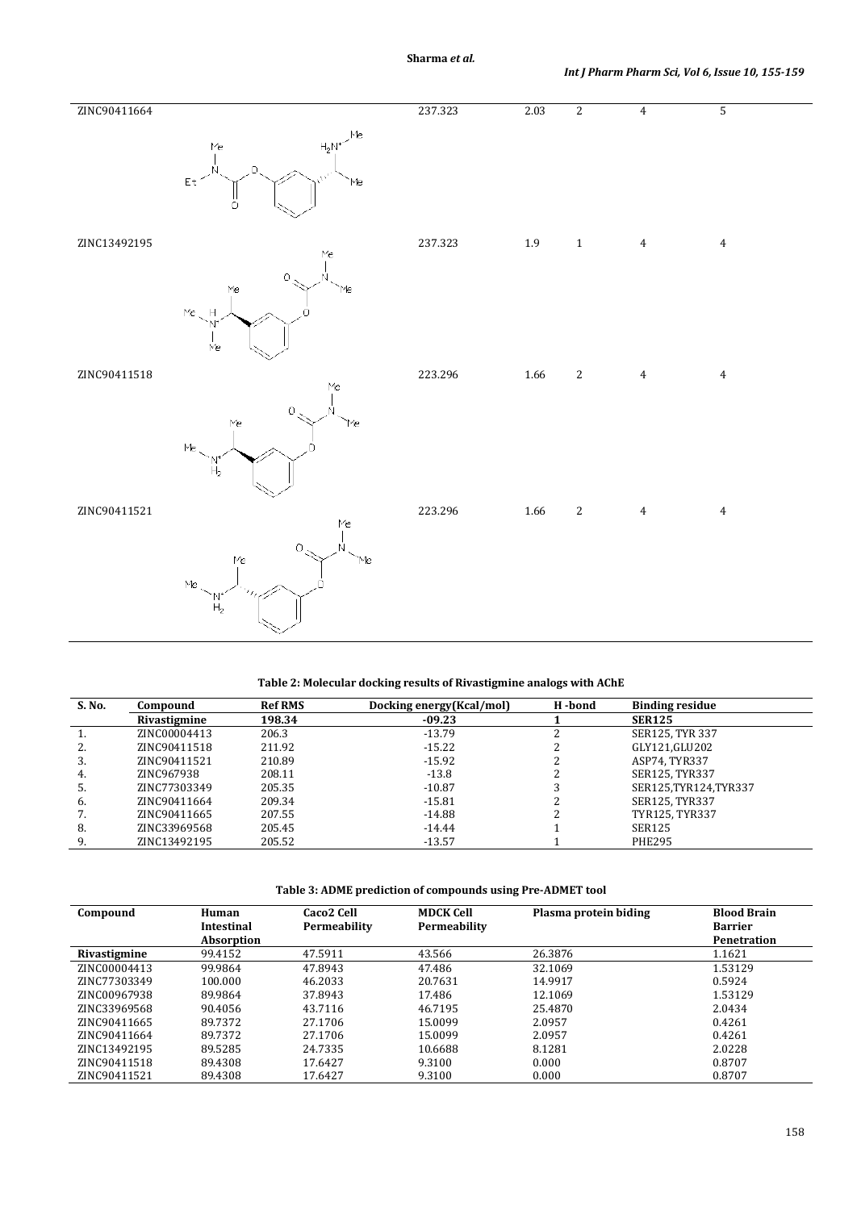| ZINC90411664 |                                                                                                                  | 237.323 | 2.03     | $\overline{2}$ | $\overline{4}$ | $\overline{5}$   |
|--------------|------------------------------------------------------------------------------------------------------------------|---------|----------|----------------|----------------|------------------|
|              | $H_2N^{\ast}$ /Me $\,$<br>$\mathsf{Me}\xspace$<br>.O<br>$\bar{\mathsf{E}}\,\mathsf{t}$<br>`Me<br>ö               |         |          |                |                |                  |
| ZINC13492195 | $\mathsf{Me}\xspace$                                                                                             | 237.323 | $1.9\,$  | $\,1\,$        | $\overline{4}$ | $\bf 4$          |
|              | $\mathcal O$<br>Me<br>Me<br>$Me$ $H$<br>Мe                                                                       |         |          |                |                |                  |
| ZINC90411518 | $_{\rm Me}$                                                                                                      | 223.296 | $1.66\,$ | $\sqrt{2}$     | $\,4\,$        | $\bf 4$          |
|              | $\circlearrowright$<br>$\mathsf{Me}$<br>'Me<br>$\mathsf{Me}\xspace$<br>$\begin{bmatrix} N^* \ H_2 \end{bmatrix}$ |         |          |                |                |                  |
| ZINC90411521 | $\mathsf{Me}$                                                                                                    | 223.296 | 1.66     | $\sqrt{2}$     | $\overline{4}$ | $\boldsymbol{4}$ |
|              | $\mathbb O$<br>N<br>Me<br>Me<br>Me $\overline{C}$<br>$\frac{\text{N}^*}{\text{H}_2}$                             |         |          |                |                |                  |

# **Table 2: Molecular docking results of Rivastigmine analogs with AChE**

| S. No. | Compound     | <b>Ref RMS</b> | Docking energy (Kcal/mol) | H-bond | <b>Binding residue</b> |
|--------|--------------|----------------|---------------------------|--------|------------------------|
|        | Rivastigmine | 198.34         | $-09.23$                  |        | <b>SER125</b>          |
|        | ZINC00004413 | 206.3          | $-13.79$                  |        | SER125, TYR 337        |
| 2.     | ZINC90411518 | 211.92         | $-15.22$                  |        | GLY121,GLU202          |
| 3.     | ZINC90411521 | 210.89         | -15.92                    |        | ASP74, TYR337          |
| 4.     | ZINC967938   | 208.11         | $-13.8$                   |        | SER125, TYR337         |
|        | ZINC77303349 | 205.35         | $-10.87$                  |        | SER125, TYR124, TYR337 |
| 6.     | ZINC90411664 | 209.34         | $-15.81$                  |        | SER125, TYR337         |
|        | ZINC90411665 | 207.55         | -14.88                    |        | TYR125, TYR337         |
| 8.     | ZINC33969568 | 205.45         | $-14.44$                  |        | SER125                 |
| 9.     | ZINC13492195 | 205.52         | $-13.57$                  |        | <b>PHE295</b>          |

**Table 3: ADME prediction of compounds using Pre-ADMET tool**

| Compound     | Human<br><b>Intestinal</b><br>Absorption | Caco <sub>2</sub> Cell<br>Permeability | <b>MDCK Cell</b><br>Permeability | Plasma protein biding | <b>Blood Brain</b><br><b>Barrier</b><br>Penetration |  |
|--------------|------------------------------------------|----------------------------------------|----------------------------------|-----------------------|-----------------------------------------------------|--|
| Rivastigmine | 99.4152                                  | 47.5911                                | 43.566                           | 26.3876               | 1.1621                                              |  |
| ZINC00004413 | 99.9864                                  | 47.8943                                | 47.486                           | 32.1069               | 1.53129                                             |  |
| ZINC77303349 | 100.000                                  | 46.2033                                | 20.7631                          | 14.9917               | 0.5924                                              |  |
| ZINC00967938 | 89.9864                                  | 37.8943                                | 17.486                           | 12.1069               | 1.53129                                             |  |
| ZINC33969568 | 90.4056                                  | 43.7116                                | 46.7195                          | 25.4870               | 2.0434                                              |  |
| ZINC90411665 | 89.7372                                  | 27.1706                                | 15.0099                          | 2.0957                | 0.4261                                              |  |
| ZINC90411664 | 89.7372                                  | 27.1706                                | 15.0099                          | 2.0957                | 0.4261                                              |  |
| ZINC13492195 | 89.5285                                  | 24.7335                                | 10.6688                          | 8.1281                | 2.0228                                              |  |
| ZINC90411518 | 89.4308                                  | 17.6427                                | 9.3100                           | 0.000                 | 0.8707                                              |  |
| ZINC90411521 | 89.4308                                  | 17.6427                                | 9.3100                           | 0.000                 | 0.8707                                              |  |